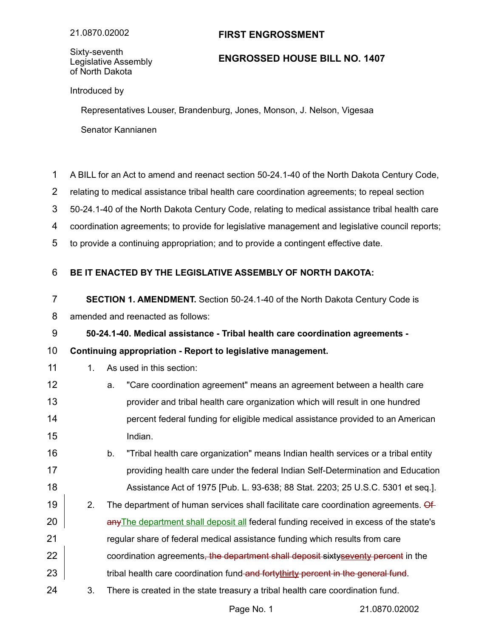## **FIRST ENGROSSMENT**

Sixty-seventh Legislative Assembly of North Dakota

## **ENGROSSED HOUSE BILL NO. 1407**

Introduced by

Representatives Louser, Brandenburg, Jones, Monson, J. Nelson, Vigesaa Senator Kannianen

- A BILL for an Act to amend and reenact section 50-24.1-40 of the North Dakota Century Code, 1
- relating to medical assistance tribal health care coordination agreements; to repeal section 2
- 50-24.1-40 of the North Dakota Century Code, relating to medical assistance tribal health care 3
- coordination agreements; to provide for legislative management and legislative council reports; 4
- to provide a continuing appropriation; and to provide a contingent effective date. 5

## **BE IT ENACTED BY THE LEGISLATIVE ASSEMBLY OF NORTH DAKOTA:** 6

- **SECTION 1. AMENDMENT.** Section 50-24.1-40 of the North Dakota Century Code is 7
- amended and reenacted as follows: 8
- **50-24.1-40. Medical assistance Tribal health care coordination agreements -** 9

## **Continuing appropriation - Report to legislative management.** 10

- 1. As used in this section: 11
- a. "Care coordination agreement" means an agreement between a health care provider and tribal health care organization which will result in one hundred percent federal funding for eligible medical assistance provided to an American Indian. 12 13 14 15
- b. "Tribal health care organization" means Indian health services or a tribal entity providing health care under the federal Indian Self-Determination and Education Assistance Act of 1975 [Pub. L. 93-638; 88 Stat. 2203; 25 U.S.C. 5301 et seq.]. 16 17 18
- 2. The department of human services shall facilitate care coordination agreements. Of anyThe department shall deposit all federal funding received in excess of the state's regular share of federal medical assistance funding which results from care coordination agreements, the department shall deposit sixtyseventy percent in the tribal health care coordination fund and fortythirty percent in the general fund. 19 20 21 22 23
- 3. There is created in the state treasury a tribal health care coordination fund. 24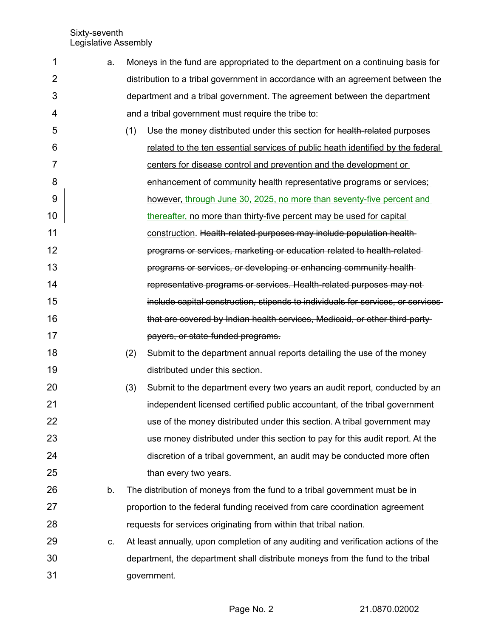Sixty-seventh Legislative Assembly

| 1              | a. | Moneys in the fund are appropriated to the department on a continuing basis for    |
|----------------|----|------------------------------------------------------------------------------------|
| $\overline{2}$ |    | distribution to a tribal government in accordance with an agreement between the    |
| 3              |    | department and a tribal government. The agreement between the department           |
| 4              |    | and a tribal government must require the tribe to:                                 |
| 5              |    | (1)<br>Use the money distributed under this section for health-related purposes    |
| 6              |    | related to the ten essential services of public heath identified by the federal    |
| 7              |    | centers for disease control and prevention and the development or                  |
| 8              |    | enhancement of community health representative programs or services;               |
| 9              |    | however, through June 30, 2025, no more than seventy-five percent and              |
| 10             |    | thereafter, no more than thirty-five percent may be used for capital               |
| 11             |    | construction. Health-related purposes may include population health-               |
| 12             |    | programs or services, marketing or education related to health-related-            |
| 13             |    | programs or services, or developing or enhancing community health-                 |
| 14             |    | representative programs or services. Health-related purposes may not-              |
| 15             |    | include capital construction, stipends to individuals for services, or services-   |
| 16             |    | that are covered by Indian health services, Medicaid, or other third-party         |
| 17             |    | payers, or state-funded programs.                                                  |
| 18             |    | (2)<br>Submit to the department annual reports detailing the use of the money      |
| 19             |    | distributed under this section.                                                    |
| 20             |    | (3)<br>Submit to the department every two years an audit report, conducted by an   |
| 21             |    | independent licensed certified public accountant, of the tribal government         |
| 22             |    | use of the money distributed under this section. A tribal government may           |
| 23             |    | use money distributed under this section to pay for this audit report. At the      |
| 24             |    | discretion of a tribal government, an audit may be conducted more often            |
| 25             |    | than every two years.                                                              |
| 26             | b. | The distribution of moneys from the fund to a tribal government must be in         |
| 27             |    | proportion to the federal funding received from care coordination agreement        |
| 28             |    | requests for services originating from within that tribal nation.                  |
| 29             | C. | At least annually, upon completion of any auditing and verification actions of the |
| 30             |    | department, the department shall distribute moneys from the fund to the tribal     |
| 31             |    | government.                                                                        |